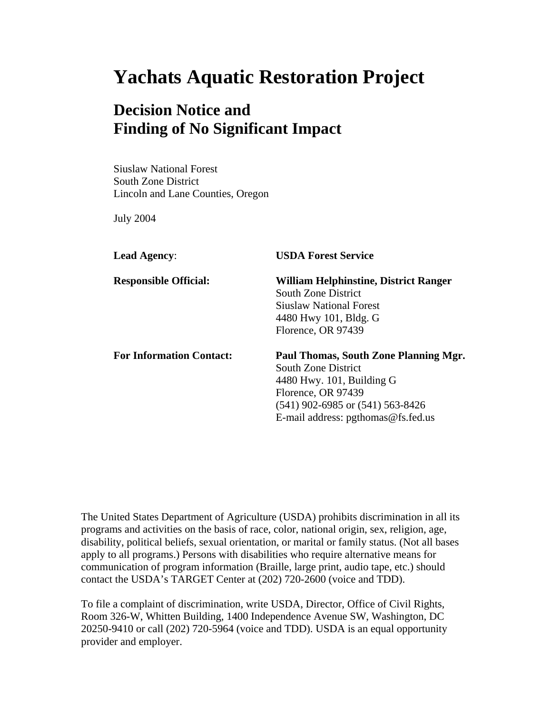# **Yachats Aquatic Restoration Project**

# **Decision Notice and Finding of No Significant Impact**

Siuslaw National Forest South Zone District Lincoln and Lane Counties, Oregon

July 2004

| <b>Lead Agency:</b>             | <b>USDA Forest Service</b>                   |  |  |
|---------------------------------|----------------------------------------------|--|--|
| <b>Responsible Official:</b>    | <b>William Helphinstine, District Ranger</b> |  |  |
|                                 | South Zone District                          |  |  |
|                                 | <b>Siuslaw National Forest</b>               |  |  |
|                                 | 4480 Hwy 101, Bldg. G                        |  |  |
|                                 | Florence, OR 97439                           |  |  |
| <b>For Information Contact:</b> | Paul Thomas, South Zone Planning Mgr.        |  |  |
|                                 | <b>South Zone District</b>                   |  |  |
|                                 | $4480$ Hwy. 101, Building G                  |  |  |
|                                 | Florence, OR 97439                           |  |  |
|                                 | $(541)$ 902-6985 or $(541)$ 563-8426         |  |  |
|                                 | E-mail address: $p$ gthomas@fs.fed.us        |  |  |

The United States Department of Agriculture (USDA) prohibits discrimination in all its programs and activities on the basis of race, color, national origin, sex, religion, age, disability, political beliefs, sexual orientation, or marital or family status. (Not all bases apply to all programs.) Persons with disabilities who require alternative means for communication of program information (Braille, large print, audio tape, etc.) should contact the USDA's TARGET Center at (202) 720-2600 (voice and TDD).

To file a complaint of discrimination, write USDA, Director, Office of Civil Rights, Room 326-W, Whitten Building, 1400 Independence Avenue SW, Washington, DC 20250-9410 or call (202) 720-5964 (voice and TDD). USDA is an equal opportunity provider and employer.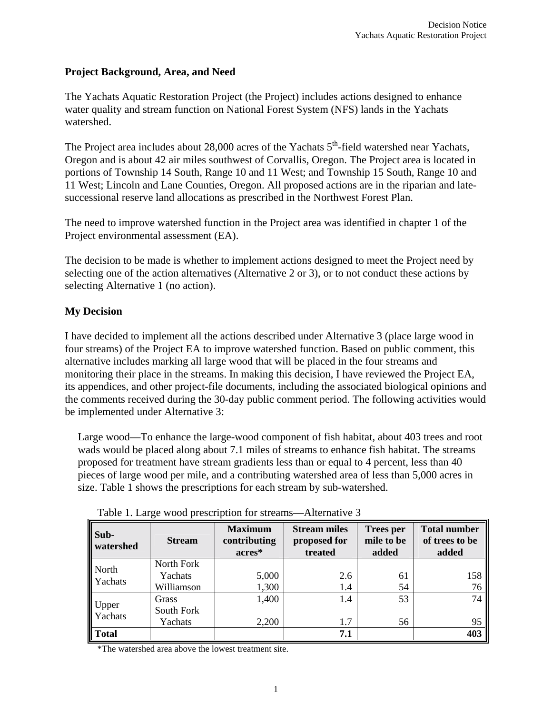# **Project Background, Area, and Need**

The Yachats Aquatic Restoration Project (the Project) includes actions designed to enhance water quality and stream function on National Forest System (NFS) lands in the Yachats watershed.

The Project area includes about 28,000 acres of the Yachats  $5<sup>th</sup>$ -field watershed near Yachats, Oregon and is about 42 air miles southwest of Corvallis, Oregon. The Project area is located in portions of Township 14 South, Range 10 and 11 West; and Township 15 South, Range 10 and 11 West; Lincoln and Lane Counties, Oregon. All proposed actions are in the riparian and latesuccessional reserve land allocations as prescribed in the Northwest Forest Plan.

The need to improve watershed function in the Project area was identified in chapter 1 of the Project environmental assessment (EA).

The decision to be made is whether to implement actions designed to meet the Project need by selecting one of the action alternatives (Alternative 2 or 3), or to not conduct these actions by selecting Alternative 1 (no action).

# **My Decision**

I have decided to implement all the actions described under Alternative 3 (place large wood in four streams) of the Project EA to improve watershed function. Based on public comment, this alternative includes marking all large wood that will be placed in the four streams and monitoring their place in the streams. In making this decision, I have reviewed the Project EA, its appendices, and other project-file documents, including the associated biological opinions and the comments received during the 30-day public comment period. The following activities would be implemented under Alternative 3:

Large wood—To enhance the large-wood component of fish habitat, about 403 trees and root wads would be placed along about 7.1 miles of streams to enhance fish habitat. The streams proposed for treatment have stream gradients less than or equal to 4 percent, less than 40 pieces of large wood per mile, and a contributing watershed area of less than 5,000 acres in size. Table 1 shows the prescriptions for each stream by sub-watershed.

| Sub-<br>watershed | <b>Stream</b>                       | <b>Maximum</b><br>contributing<br>acres* | <b>Stream miles</b><br>proposed for<br>treated | <b>Trees per</b><br>mile to be<br>added | <b>Total number</b><br>of trees to be<br>added |
|-------------------|-------------------------------------|------------------------------------------|------------------------------------------------|-----------------------------------------|------------------------------------------------|
| North<br>Yachats  | North Fork<br>Yachats<br>Williamson | 5,000<br>1,300                           | 2.6<br>1.4                                     | 61<br>54                                | 158<br>76                                      |
| Upper<br>Yachats  | Grass<br>South Fork<br>Yachats      | 1,400<br>2,200                           | 1.4<br>1.7                                     | 53<br>56                                | 74<br>95                                       |
| <b>Total</b>      |                                     |                                          | 7.1                                            |                                         | 403                                            |

Table 1. Large wood prescription for streams—Alternative 3

\*The watershed area above the lowest treatment site.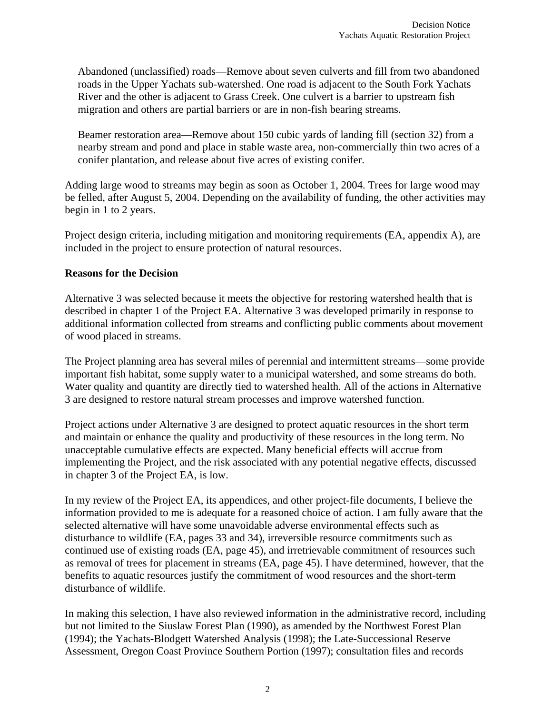Abandoned (unclassified) roads—Remove about seven culverts and fill from two abandoned roads in the Upper Yachats sub-watershed. One road is adjacent to the South Fork Yachats River and the other is adjacent to Grass Creek. One culvert is a barrier to upstream fish migration and others are partial barriers or are in non-fish bearing streams.

Beamer restoration area—Remove about 150 cubic yards of landing fill (section 32) from a nearby stream and pond and place in stable waste area, non-commercially thin two acres of a conifer plantation, and release about five acres of existing conifer.

Adding large wood to streams may begin as soon as October 1, 2004. Trees for large wood may be felled, after August 5, 2004. Depending on the availability of funding, the other activities may begin in 1 to 2 years.

Project design criteria, including mitigation and monitoring requirements (EA, appendix A), are included in the project to ensure protection of natural resources.

# **Reasons for the Decision**

Alternative 3 was selected because it meets the objective for restoring watershed health that is described in chapter 1 of the Project EA. Alternative 3 was developed primarily in response to additional information collected from streams and conflicting public comments about movement of wood placed in streams.

The Project planning area has several miles of perennial and intermittent streams—some provide important fish habitat, some supply water to a municipal watershed, and some streams do both. Water quality and quantity are directly tied to watershed health. All of the actions in Alternative 3 are designed to restore natural stream processes and improve watershed function.

Project actions under Alternative 3 are designed to protect aquatic resources in the short term and maintain or enhance the quality and productivity of these resources in the long term. No unacceptable cumulative effects are expected. Many beneficial effects will accrue from implementing the Project, and the risk associated with any potential negative effects, discussed in chapter 3 of the Project EA, is low.

In my review of the Project EA, its appendices, and other project-file documents, I believe the information provided to me is adequate for a reasoned choice of action. I am fully aware that the selected alternative will have some unavoidable adverse environmental effects such as disturbance to wildlife (EA, pages 33 and 34), irreversible resource commitments such as continued use of existing roads (EA, page 45), and irretrievable commitment of resources such as removal of trees for placement in streams (EA, page 45). I have determined, however, that the benefits to aquatic resources justify the commitment of wood resources and the short-term disturbance of wildlife.

In making this selection, I have also reviewed information in the administrative record, including but not limited to the Siuslaw Forest Plan (1990), as amended by the Northwest Forest Plan (1994); the Yachats-Blodgett Watershed Analysis (1998); the Late-Successional Reserve Assessment, Oregon Coast Province Southern Portion (1997); consultation files and records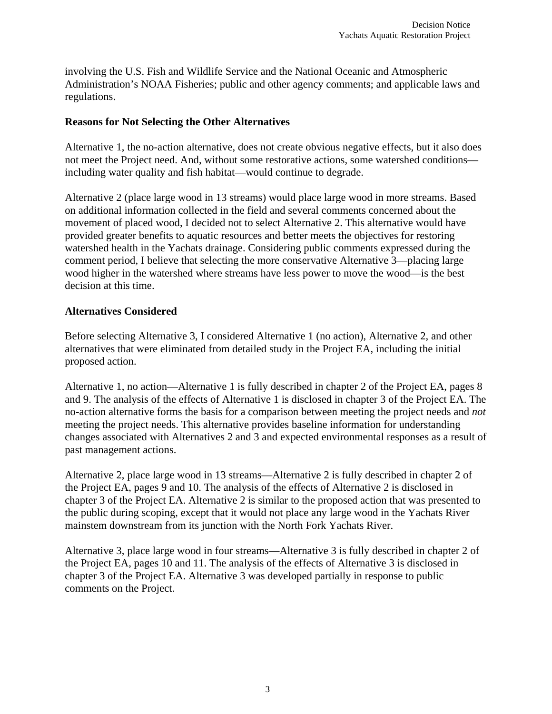involving the U.S. Fish and Wildlife Service and the National Oceanic and Atmospheric Administration's NOAA Fisheries; public and other agency comments; and applicable laws and regulations.

# **Reasons for Not Selecting the Other Alternatives**

Alternative 1, the no-action alternative, does not create obvious negative effects, but it also does not meet the Project need. And, without some restorative actions, some watershed conditions including water quality and fish habitat—would continue to degrade.

Alternative 2 (place large wood in 13 streams) would place large wood in more streams. Based on additional information collected in the field and several comments concerned about the movement of placed wood, I decided not to select Alternative 2. This alternative would have provided greater benefits to aquatic resources and better meets the objectives for restoring watershed health in the Yachats drainage. Considering public comments expressed during the comment period, I believe that selecting the more conservative Alternative 3—placing large wood higher in the watershed where streams have less power to move the wood—is the best decision at this time.

# **Alternatives Considered**

Before selecting Alternative 3, I considered Alternative 1 (no action), Alternative 2, and other alternatives that were eliminated from detailed study in the Project EA, including the initial proposed action.

Alternative 1, no action—Alternative 1 is fully described in chapter 2 of the Project EA, pages 8 and 9. The analysis of the effects of Alternative 1 is disclosed in chapter 3 of the Project EA. The no-action alternative forms the basis for a comparison between meeting the project needs and *not* meeting the project needs. This alternative provides baseline information for understanding changes associated with Alternatives 2 and 3 and expected environmental responses as a result of past management actions.

Alternative 2, place large wood in 13 streams—Alternative 2 is fully described in chapter 2 of the Project EA, pages 9 and 10. The analysis of the effects of Alternative 2 is disclosed in chapter 3 of the Project EA. Alternative 2 is similar to the proposed action that was presented to the public during scoping, except that it would not place any large wood in the Yachats River mainstem downstream from its junction with the North Fork Yachats River.

Alternative 3, place large wood in four streams—Alternative 3 is fully described in chapter 2 of the Project EA, pages 10 and 11. The analysis of the effects of Alternative 3 is disclosed in chapter 3 of the Project EA. Alternative 3 was developed partially in response to public comments on the Project.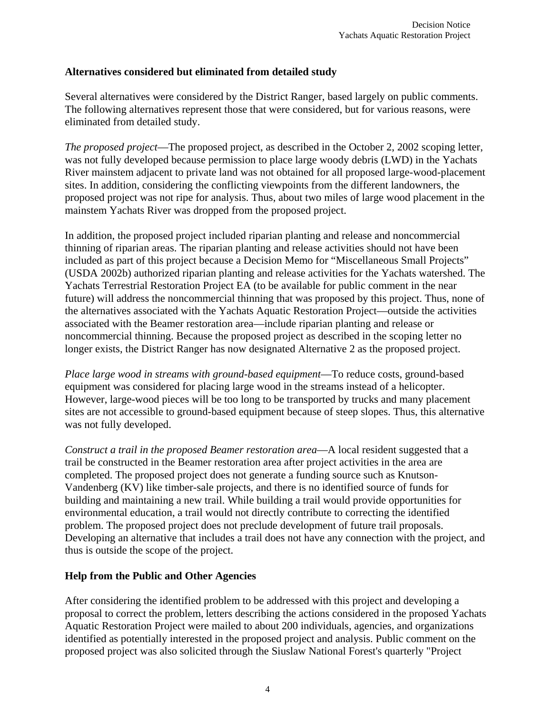# **Alternatives considered but eliminated from detailed study**

Several alternatives were considered by the District Ranger, based largely on public comments. The following alternatives represent those that were considered, but for various reasons, were eliminated from detailed study.

*The proposed project*—The proposed project, as described in the October 2, 2002 scoping letter, was not fully developed because permission to place large woody debris (LWD) in the Yachats River mainstem adjacent to private land was not obtained for all proposed large-wood-placement sites. In addition, considering the conflicting viewpoints from the different landowners, the proposed project was not ripe for analysis. Thus, about two miles of large wood placement in the mainstem Yachats River was dropped from the proposed project.

In addition, the proposed project included riparian planting and release and noncommercial thinning of riparian areas. The riparian planting and release activities should not have been included as part of this project because a Decision Memo for "Miscellaneous Small Projects" (USDA 2002b) authorized riparian planting and release activities for the Yachats watershed. The Yachats Terrestrial Restoration Project EA (to be available for public comment in the near future) will address the noncommercial thinning that was proposed by this project. Thus, none of the alternatives associated with the Yachats Aquatic Restoration Project—outside the activities associated with the Beamer restoration area—include riparian planting and release or noncommercial thinning. Because the proposed project as described in the scoping letter no longer exists, the District Ranger has now designated Alternative 2 as the proposed project.

*Place large wood in streams with ground-based equipment*—To reduce costs, ground-based equipment was considered for placing large wood in the streams instead of a helicopter. However, large-wood pieces will be too long to be transported by trucks and many placement sites are not accessible to ground-based equipment because of steep slopes. Thus, this alternative was not fully developed.

*Construct a trail in the proposed Beamer restoration area*—A local resident suggested that a trail be constructed in the Beamer restoration area after project activities in the area are completed. The proposed project does not generate a funding source such as Knutson-Vandenberg (KV) like timber-sale projects, and there is no identified source of funds for building and maintaining a new trail. While building a trail would provide opportunities for environmental education, a trail would not directly contribute to correcting the identified problem. The proposed project does not preclude development of future trail proposals. Developing an alternative that includes a trail does not have any connection with the project, and thus is outside the scope of the project.

#### **Help from the Public and Other Agencies**

After considering the identified problem to be addressed with this project and developing a proposal to correct the problem, letters describing the actions considered in the proposed Yachats Aquatic Restoration Project were mailed to about 200 individuals, agencies, and organizations identified as potentially interested in the proposed project and analysis. Public comment on the proposed project was also solicited through the Siuslaw National Forest's quarterly "Project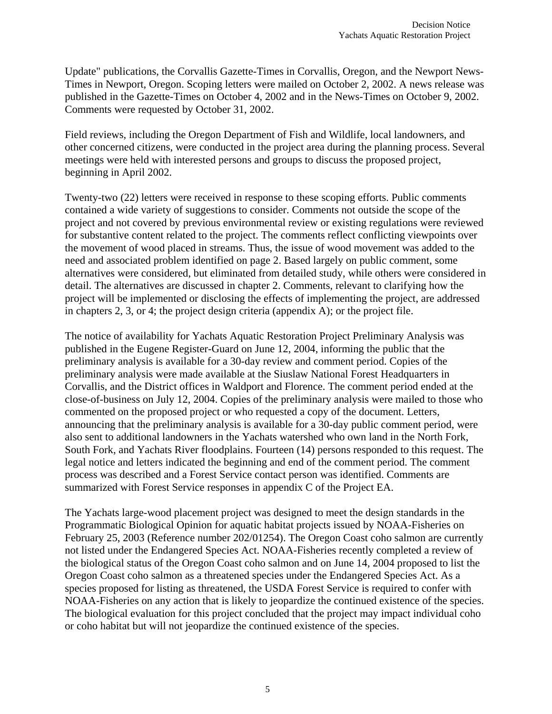Update" publications, the Corvallis Gazette-Times in Corvallis, Oregon, and the Newport News-Times in Newport, Oregon. Scoping letters were mailed on October 2, 2002. A news release was published in the Gazette-Times on October 4, 2002 and in the News-Times on October 9, 2002. Comments were requested by October 31, 2002.

Field reviews, including the Oregon Department of Fish and Wildlife, local landowners, and other concerned citizens, were conducted in the project area during the planning process. Several meetings were held with interested persons and groups to discuss the proposed project, beginning in April 2002.

Twenty-two (22) letters were received in response to these scoping efforts. Public comments contained a wide variety of suggestions to consider. Comments not outside the scope of the project and not covered by previous environmental review or existing regulations were reviewed for substantive content related to the project. The comments reflect conflicting viewpoints over the movement of wood placed in streams. Thus, the issue of wood movement was added to the need and associated problem identified on page 2. Based largely on public comment, some alternatives were considered, but eliminated from detailed study, while others were considered in detail. The alternatives are discussed in chapter 2. Comments, relevant to clarifying how the project will be implemented or disclosing the effects of implementing the project, are addressed in chapters 2, 3, or 4; the project design criteria (appendix A); or the project file.

The notice of availability for Yachats Aquatic Restoration Project Preliminary Analysis was published in the Eugene Register-Guard on June 12, 2004, informing the public that the preliminary analysis is available for a 30-day review and comment period. Copies of the preliminary analysis were made available at the Siuslaw National Forest Headquarters in Corvallis, and the District offices in Waldport and Florence. The comment period ended at the close-of-business on July 12, 2004. Copies of the preliminary analysis were mailed to those who commented on the proposed project or who requested a copy of the document. Letters, announcing that the preliminary analysis is available for a 30-day public comment period, were also sent to additional landowners in the Yachats watershed who own land in the North Fork, South Fork, and Yachats River floodplains. Fourteen (14) persons responded to this request. The legal notice and letters indicated the beginning and end of the comment period. The comment process was described and a Forest Service contact person was identified. Comments are summarized with Forest Service responses in appendix C of the Project EA.

The Yachats large-wood placement project was designed to meet the design standards in the Programmatic Biological Opinion for aquatic habitat projects issued by NOAA-Fisheries on February 25, 2003 (Reference number 202/01254). The Oregon Coast coho salmon are currently not listed under the Endangered Species Act. NOAA-Fisheries recently completed a review of the biological status of the Oregon Coast coho salmon and on June 14, 2004 proposed to list the Oregon Coast coho salmon as a threatened species under the Endangered Species Act. As a species proposed for listing as threatened, the USDA Forest Service is required to confer with NOAA-Fisheries on any action that is likely to jeopardize the continued existence of the species. The biological evaluation for this project concluded that the project may impact individual coho or coho habitat but will not jeopardize the continued existence of the species.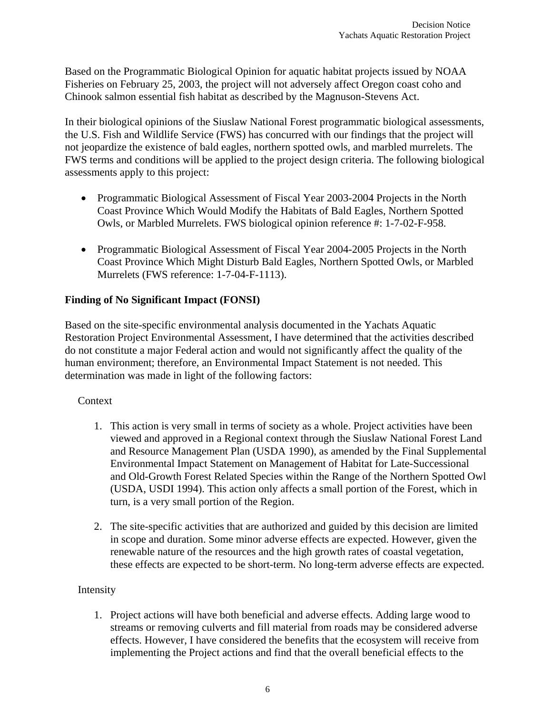Based on the Programmatic Biological Opinion for aquatic habitat projects issued by NOAA Fisheries on February 25, 2003, the project will not adversely affect Oregon coast coho and Chinook salmon essential fish habitat as described by the Magnuson-Stevens Act.

In their biological opinions of the Siuslaw National Forest programmatic biological assessments, the U.S. Fish and Wildlife Service (FWS) has concurred with our findings that the project will not jeopardize the existence of bald eagles, northern spotted owls, and marbled murrelets. The FWS terms and conditions will be applied to the project design criteria. The following biological assessments apply to this project:

- Programmatic Biological Assessment of Fiscal Year 2003-2004 Projects in the North Coast Province Which Would Modify the Habitats of Bald Eagles, Northern Spotted Owls, or Marbled Murrelets. FWS biological opinion reference #: 1-7-02-F-958.
- Programmatic Biological Assessment of Fiscal Year 2004-2005 Projects in the North Coast Province Which Might Disturb Bald Eagles, Northern Spotted Owls, or Marbled Murrelets (FWS reference: 1-7-04-F-1113).

# **Finding of No Significant Impact (FONSI)**

Based on the site-specific environmental analysis documented in the Yachats Aquatic Restoration Project Environmental Assessment, I have determined that the activities described do not constitute a major Federal action and would not significantly affect the quality of the human environment; therefore, an Environmental Impact Statement is not needed. This determination was made in light of the following factors:

# Context

- 1. This action is very small in terms of society as a whole. Project activities have been viewed and approved in a Regional context through the Siuslaw National Forest Land and Resource Management Plan (USDA 1990), as amended by the Final Supplemental Environmental Impact Statement on Management of Habitat for Late-Successional and Old-Growth Forest Related Species within the Range of the Northern Spotted Owl (USDA, USDI 1994). This action only affects a small portion of the Forest, which in turn, is a very small portion of the Region.
- 2. The site-specific activities that are authorized and guided by this decision are limited in scope and duration. Some minor adverse effects are expected. However, given the renewable nature of the resources and the high growth rates of coastal vegetation, these effects are expected to be short-term. No long-term adverse effects are expected.

# Intensity

1. Project actions will have both beneficial and adverse effects. Adding large wood to streams or removing culverts and fill material from roads may be considered adverse effects. However, I have considered the benefits that the ecosystem will receive from implementing the Project actions and find that the overall beneficial effects to the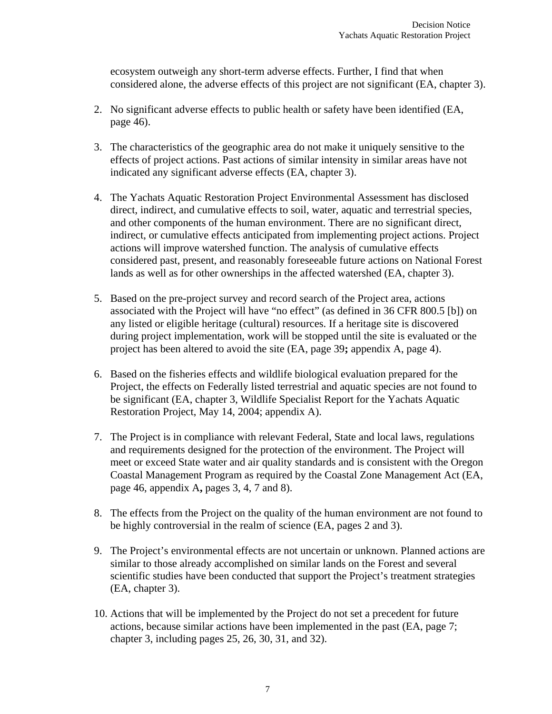ecosystem outweigh any short-term adverse effects. Further, I find that when considered alone, the adverse effects of this project are not significant (EA, chapter 3).

- 2. No significant adverse effects to public health or safety have been identified (EA, page 46).
- 3. The characteristics of the geographic area do not make it uniquely sensitive to the effects of project actions. Past actions of similar intensity in similar areas have not indicated any significant adverse effects (EA, chapter 3).
- 4. The Yachats Aquatic Restoration Project Environmental Assessment has disclosed direct, indirect, and cumulative effects to soil, water, aquatic and terrestrial species, and other components of the human environment. There are no significant direct, indirect, or cumulative effects anticipated from implementing project actions. Project actions will improve watershed function. The analysis of cumulative effects considered past, present, and reasonably foreseeable future actions on National Forest lands as well as for other ownerships in the affected watershed (EA, chapter 3).
- 5. Based on the pre-project survey and record search of the Project area, actions associated with the Project will have "no effect" (as defined in 36 CFR 800.5 [b]) on any listed or eligible heritage (cultural) resources. If a heritage site is discovered during project implementation, work will be stopped until the site is evaluated or the project has been altered to avoid the site (EA, page 39**;** appendix A, page 4).
- 6. Based on the fisheries effects and wildlife biological evaluation prepared for the Project, the effects on Federally listed terrestrial and aquatic species are not found to be significant (EA, chapter 3, Wildlife Specialist Report for the Yachats Aquatic Restoration Project, May 14, 2004; appendix A).
- 7. The Project is in compliance with relevant Federal, State and local laws, regulations and requirements designed for the protection of the environment. The Project will meet or exceed State water and air quality standards and is consistent with the Oregon Coastal Management Program as required by the Coastal Zone Management Act (EA, page 46, appendix A**,** pages 3, 4, 7 and 8).
- 8. The effects from the Project on the quality of the human environment are not found to be highly controversial in the realm of science (EA, pages 2 and 3).
- 9. The Project's environmental effects are not uncertain or unknown. Planned actions are similar to those already accomplished on similar lands on the Forest and several scientific studies have been conducted that support the Project's treatment strategies (EA, chapter 3).
- 10. Actions that will be implemented by the Project do not set a precedent for future actions, because similar actions have been implemented in the past (EA, page 7; chapter 3, including pages 25, 26, 30, 31, and 32).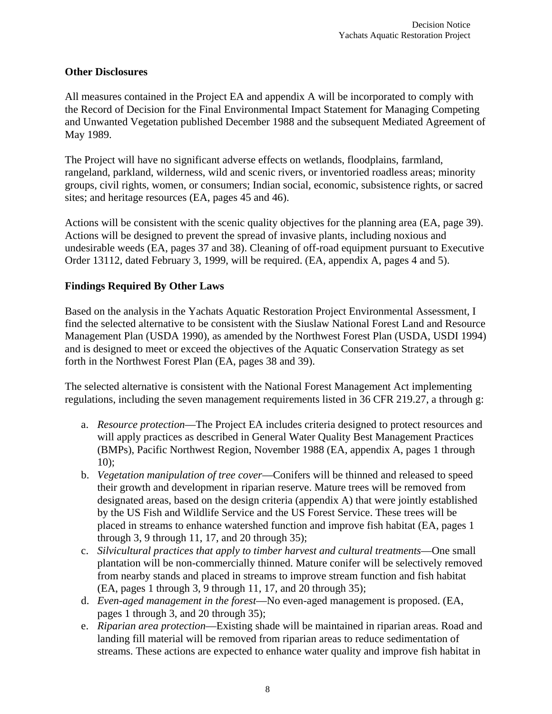# **Other Disclosures**

All measures contained in the Project EA and appendix A will be incorporated to comply with the Record of Decision for the Final Environmental Impact Statement for Managing Competing and Unwanted Vegetation published December 1988 and the subsequent Mediated Agreement of May 1989.

The Project will have no significant adverse effects on wetlands, floodplains, farmland, rangeland, parkland, wilderness, wild and scenic rivers, or inventoried roadless areas; minority groups, civil rights, women, or consumers; Indian social, economic, subsistence rights, or sacred sites; and heritage resources (EA, pages 45 and 46).

Actions will be consistent with the scenic quality objectives for the planning area (EA, page 39). Actions will be designed to prevent the spread of invasive plants, including noxious and undesirable weeds (EA, pages 37 and 38). Cleaning of off-road equipment pursuant to Executive Order 13112, dated February 3, 1999, will be required. (EA, appendix A, pages 4 and 5).

# **Findings Required By Other Laws**

Based on the analysis in the Yachats Aquatic Restoration Project Environmental Assessment, I find the selected alternative to be consistent with the Siuslaw National Forest Land and Resource Management Plan (USDA 1990), as amended by the Northwest Forest Plan (USDA, USDI 1994) and is designed to meet or exceed the objectives of the Aquatic Conservation Strategy as set forth in the Northwest Forest Plan (EA, pages 38 and 39).

The selected alternative is consistent with the National Forest Management Act implementing regulations, including the seven management requirements listed in 36 CFR 219.27, a through g:

- a. *Resource protection*—The Project EA includes criteria designed to protect resources and will apply practices as described in General Water Quality Best Management Practices (BMPs), Pacific Northwest Region, November 1988 (EA, appendix A, pages 1 through 10);
- b. *Vegetation manipulation of tree cover*—Conifers will be thinned and released to speed their growth and development in riparian reserve. Mature trees will be removed from designated areas, based on the design criteria (appendix A) that were jointly established by the US Fish and Wildlife Service and the US Forest Service. These trees will be placed in streams to enhance watershed function and improve fish habitat (EA, pages 1 through 3, 9 through 11, 17, and 20 through 35);
- c. *Silvicultural practices that apply to timber harvest and cultural treatments*—One small plantation will be non-commercially thinned. Mature conifer will be selectively removed from nearby stands and placed in streams to improve stream function and fish habitat (EA, pages 1 through 3, 9 through 11, 17, and 20 through 35);
- d. *Even-aged management in the forest*—No even-aged management is proposed. (EA, pages 1 through 3, and 20 through 35);
- e. *Riparian area protection*—Existing shade will be maintained in riparian areas. Road and landing fill material will be removed from riparian areas to reduce sedimentation of streams. These actions are expected to enhance water quality and improve fish habitat in